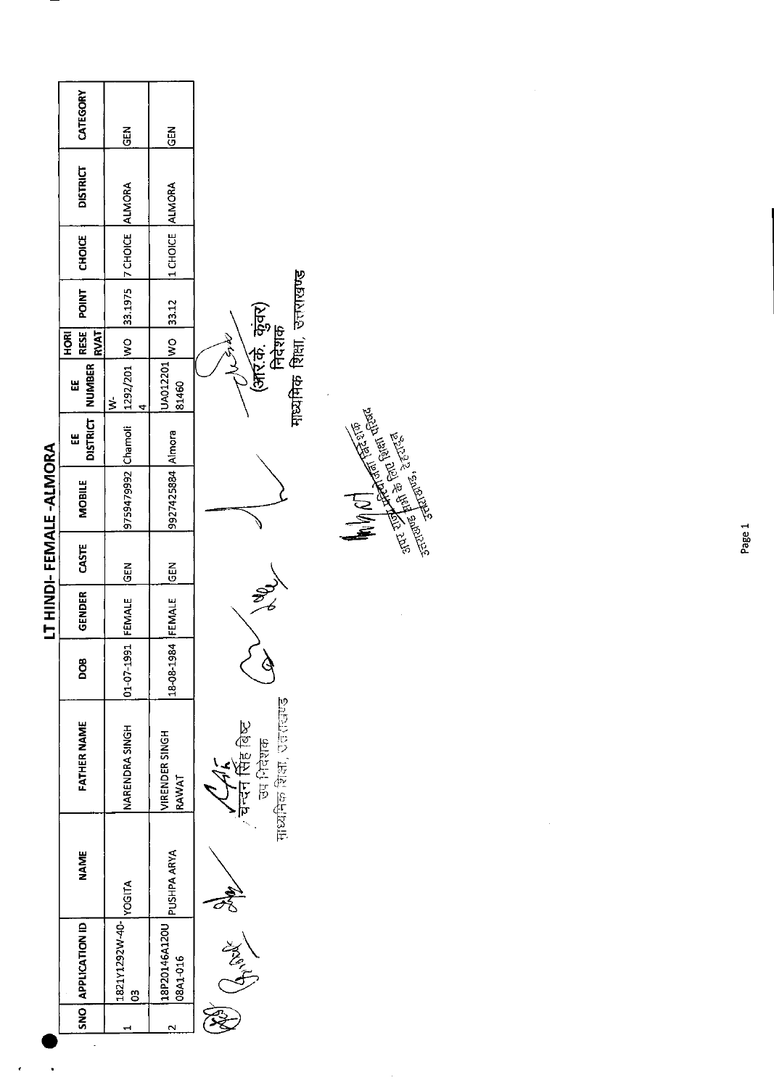|                                |             |                                                                             |                   |               |             | LT HINDI-FEMALE-ALMORA                                         |   |                                                           |                               |              |                 |                 |              |  |
|--------------------------------|-------------|-----------------------------------------------------------------------------|-------------------|---------------|-------------|----------------------------------------------------------------|---|-----------------------------------------------------------|-------------------------------|--------------|-----------------|-----------------|--------------|--|
| SNO APPLICATION ID             | NAME        | FATHER NAME                                                                 | DOB               | <b>GENDER</b> | CASTE       | <b>MOBILE</b>                                                  | Ш | DISTRICT   NUMBER<br>٣                                    | RESE  <br><b>RVAT</b><br>HORI | <b>POINT</b> | CHOICE          | <b>DISTRICT</b> | CATEGORY     |  |
| 11821Y1292W-40-<br>VOGITA<br>g |             | <b>NARENDRA SINGH</b>                                                       | 01-07-1991 FEMALE |               | $rac{5}{2}$ | 9759479992 Chamoli   1292/201 WO   33.1975   7 CHOICE   ALMORA |   | ₹<br>4                                                    |                               |              |                 |                 | $rac{5}{65}$ |  |
| 18P20146A120U<br>08A1-016      | PUSHPA ARYA | VIRENDER SINGH<br>RAWAT                                                     | 18-08-1984 FEMALE |               | $rac{5}{6}$ | 9927425884 Almora                                              |   | UA012201<br>81460                                         | WO 33.12                      |              | 1 CHOICE ALMORA |                 | $rac{5}{9}$  |  |
| ARTICLE CONTENT                |             | <b>Frequency</b> Selection<br>र्षदी हिंबिष्ट<br>चन्दन सिंह बिष्ट<br>जो निशक | I                 |               |             |                                                                |   | गाध्यमिक शिक्षा, उत्तराखण्ड<br>(आर्र.के. कुंवर)<br>निदेशक |                               |              |                 |                 |              |  |

 $\cdot$ 

**Example of the Property of the Second Second Property and Second Property**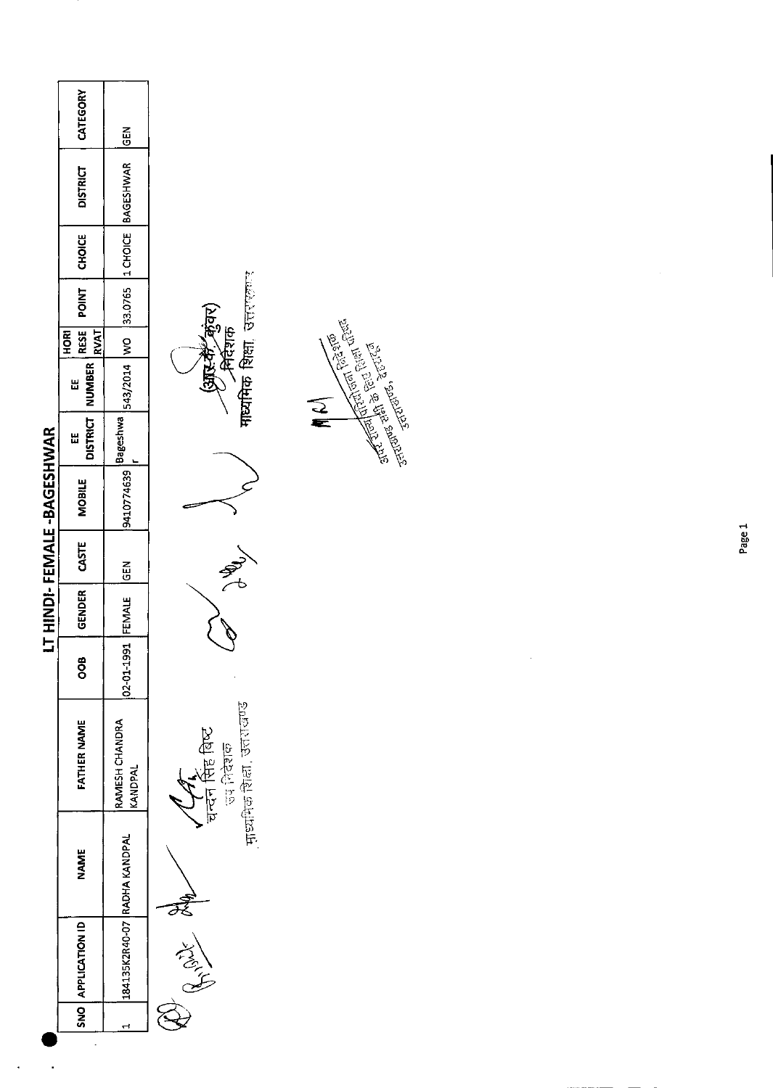|        | SNO APPLICATION ID | 184135K2R40-07 RADHA KANDPAL<br>NAME | RAMESH CHANDRA<br><b>ATHER NAME</b><br>KANDPAL | 02-01-1991 FEMALE<br>8<br>0 | GENDER   CASTE | $rac{5}{6}$ | LT HINDI-FEMALE -BAGESHWAR<br><b>MOBILE</b> | DISTRICT   NUMBER<br>ليا<br>أنا | Ш | <b>RESE</b><br>$\frac{1}{2}$<br><b>RVAT</b> | POINT   CHOICE | 9410774639 Bageshwa 543/2014 WO 33.0765 1 CHOICE BAGESHWAR<br><b>DISTRICT</b> | CATEGORY<br>$\frac{5}{10}$ |
|--------|--------------------|--------------------------------------|------------------------------------------------|-----------------------------|----------------|-------------|---------------------------------------------|---------------------------------|---|---------------------------------------------|----------------|-------------------------------------------------------------------------------|----------------------------|
| 2<br>S |                    |                                      |                                                |                             |                |             |                                             |                                 |   |                                             |                |                                                                               |                            |

 $\ddot{\phantom{0}}$ 

 $\ddot{\phantom{0}}$ 

of the state

ँ चन्दन सिंह बिष्ट<br>ज्य निदेशक<br>माध्यमिक शिक्षा, उत्तराखण्ड



**माध्यमिक शिक्षा**, उत्तरएकण्ड मिदेशक

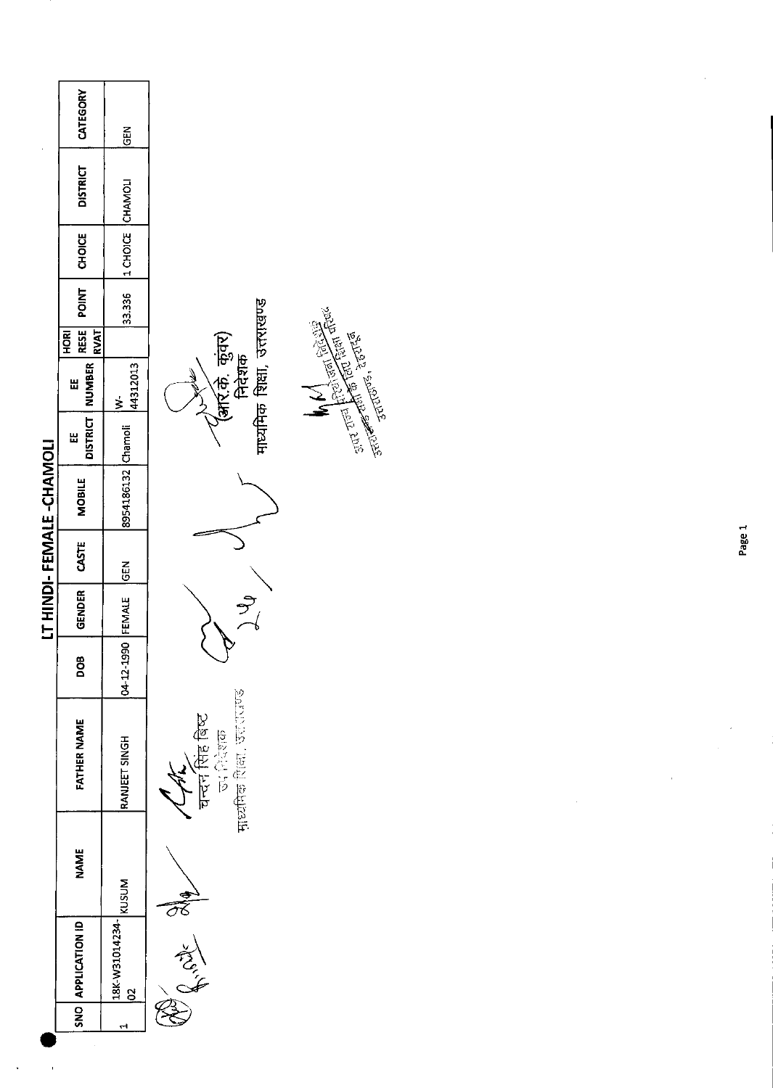| NO APPLICATION ID     | NAME | FATHER NAME          | m<br>g  | GENDER         | I CASTE | LT HINDI-FEMALE-CHAMOLI<br><b>MOBILE</b> | Ш | Ш               | 로<br>오      | RESE POINT CHOICE         | <b>DISTRICT</b> | CATEGORY    |
|-----------------------|------|----------------------|---------|----------------|---------|------------------------------------------|---|-----------------|-------------|---------------------------|-----------------|-------------|
|                       |      |                      |         |                |         |                                          |   | DISTRICT NUMBER | <b>RVAT</b> |                           |                 |             |
| 118K-W31014234- KUSUM |      | <b>RANJEET SINGH</b> |         |                |         |                                          |   | $\frac{1}{2}$   |             |                           |                 |             |
|                       |      |                      | 04-12-1 | IGEN ENALE GEN |         | 8954186132 Chamoli                       |   | 44312013        |             | 33.336  1 CHOICE  CHAMOLI |                 | $rac{5}{2}$ |





<sup>/ (</sup>आर.के. कुंवर)<br>निदेशक<br>माधमिक शिक्षा, उत्तराखण्ड

 $\frac{5}{10}$ 

**Hult**<br>Public **RESERVE**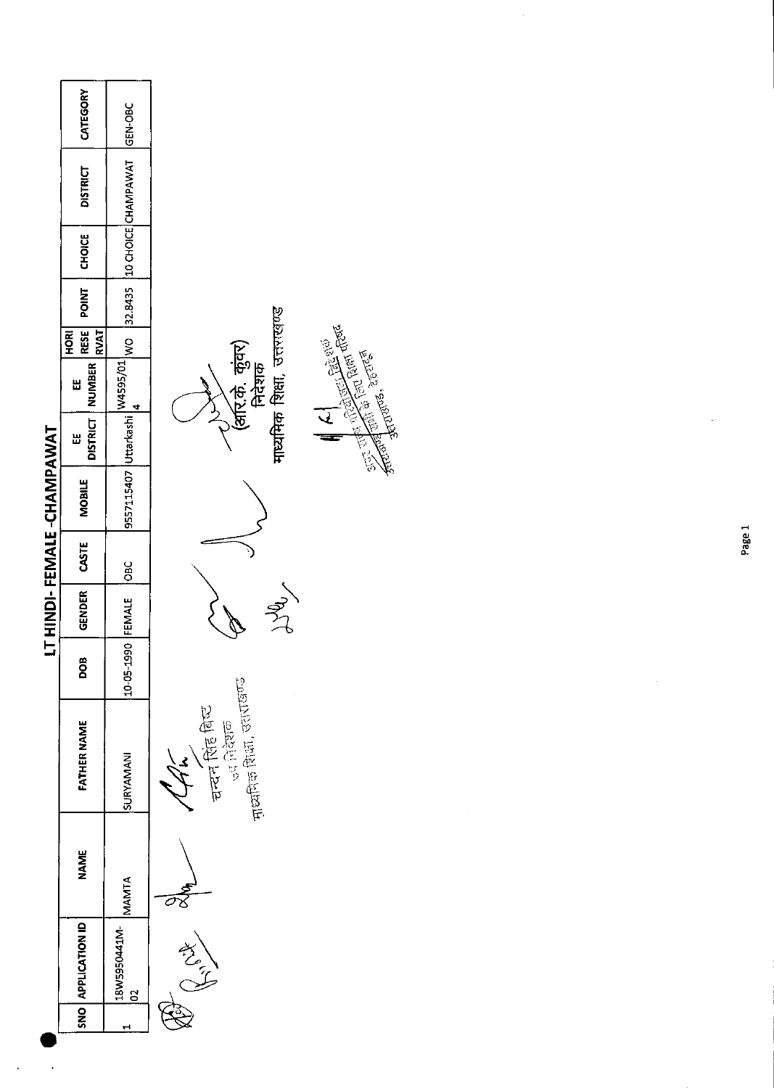|                           | CATEGORY                           | GEN-OBC                                              |                                                                               |
|---------------------------|------------------------------------|------------------------------------------------------|-------------------------------------------------------------------------------|
|                           | <b>DISTRICT</b>                    | 32.8435 10 CHOICE CHAMPAWAT                          |                                                                               |
|                           | CHOICE                             |                                                      |                                                                               |
|                           | <b>POINT</b>                       |                                                      |                                                                               |
|                           | <b>RESE</b><br><b>RVAT</b><br>HORI |                                                      |                                                                               |
|                           | NUMBER<br>Ш                        |                                                      | माध्यमिक शिक्षा, उत्तराखण्ड<br>(अरि.के. कुंवर)<br>निदेशक                      |
|                           | DISTRIGT<br>Ш                      |                                                      |                                                                               |
| LT HINDI-FEMALE-CHAMPAWAT | <b>MOBILE</b>                      | 19557115407  Uttarkashi   <mark>W4595/01</mark>   WO |                                                                               |
|                           | CASTE                              | $rac{6}{5}$                                          |                                                                               |
|                           | GENDER                             |                                                      |                                                                               |
|                           | ğ                                  | 10-05-1990 FEMALE                                    |                                                                               |
|                           | FATHER NAME                        | SURYAMANI                                            | चन्दन सिंह विष्ट<br><sub>उ</sub> र निदेशक<br>माध्यकि शिक्षा, उराराखण्ड<br>Ar. |
|                           | <b>NAME</b>                        | MAMIA                                                |                                                                               |
|                           | SNO   APPLICATION ID               | 18W5950441M-<br>8                                    | s<br>El                                                                       |
|                           |                                    |                                                      |                                                                               |

 $\ddot{\phantom{0}}$ 

**From Section 2018** 

Page 1

 $\hat{\tau}$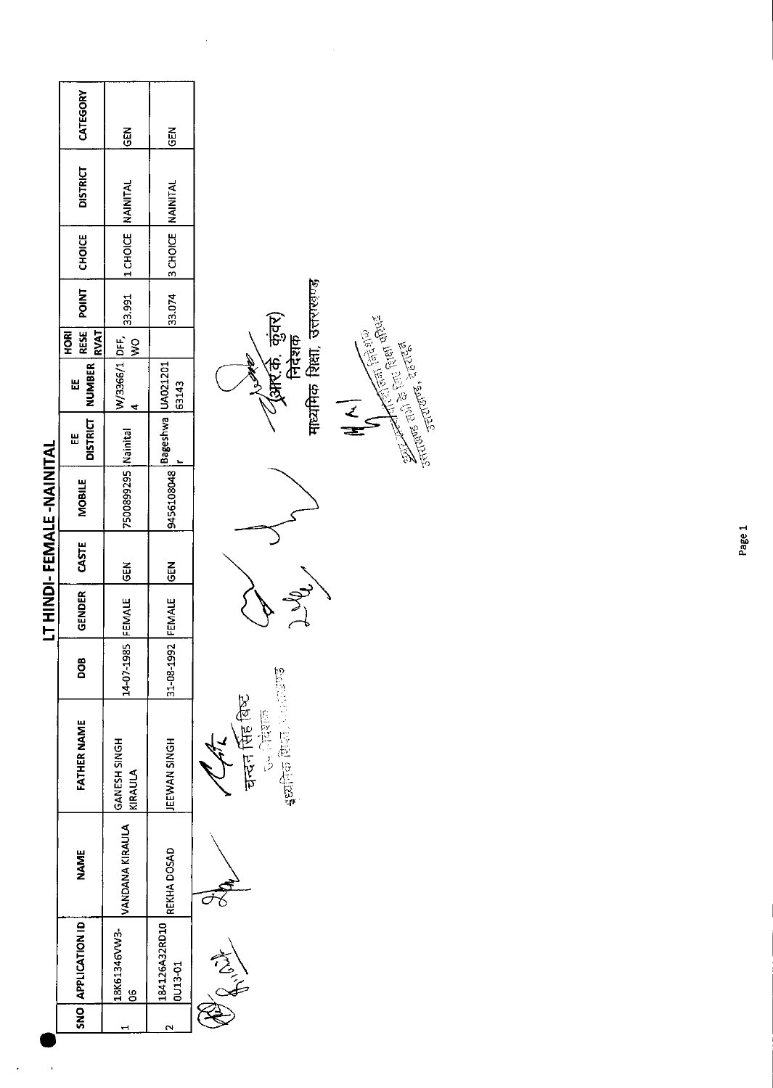|                           | CATEGORY                      | $rac{6}{5}$              | $rac{5}{6}$                     |                                                          |
|---------------------------|-------------------------------|--------------------------|---------------------------------|----------------------------------------------------------|
|                           | <b>DISTRICT</b>               |                          |                                 |                                                          |
|                           | <b>CHOICE</b>                 | 1 CHOICE NAINITAL        | 33.074 3 CHOICE NAINITAL        |                                                          |
|                           | <b>POINT</b>                  |                          |                                 |                                                          |
|                           | RESE  <br><b>RVAT</b><br>HORI | $\frac{1}{2}$            |                                 |                                                          |
|                           | DISTRICT NUMBER<br>W          | W/3366/1 DFF, 33.991     | 63143                           | BHR (7)<br>BHR (7) chard                                 |
|                           | Ш                             |                          |                                 |                                                          |
| LT HINDI-FEMALE -NAINITAL | <b>MOBILE</b>                 | 7500899295 Nainital      | I9456108048 Bageshwa UA021201   | S                                                        |
|                           | CASTE                         | GEN                      | $rac{5}{6}$                     |                                                          |
|                           | GENDER                        | FEMALE                   |                                 |                                                          |
|                           | 80a                           | 14-07-1985               | 31-08-1992 FEMALE               |                                                          |
|                           | <b>FATHER NAME</b>            | HONIS HS3NYS<br>KIRAULA  | JEEWAN SINGH                    | चन्दन सिंह बिष्ट<br><b>Depth Depth</b><br>serfere Retail |
|                           | <b>NAME</b>                   | VANDANA KIRAULA          | REKHA DOSAD                     |                                                          |
|                           | SNO   APPLICATION ID          | 18K61346VW3-<br><u>g</u> | 184126A32RD10<br><b>0U13-01</b> | たんじ                                                      |
|                           |                               |                          | یہ                              |                                                          |

 $\frac{1}{2}$ 

 $\ddot{\phantom{0}}$ 

*⁄ ⁄ (आर.के. कुंवर)*<br>निदेशक<br>माध्यमिक शिक्षा, उत्तराखण्ड  $\sqrt{2}$  $\left\langle \right\rangle$ Jely

Surge of the Director of the Register of the Posts of the Posts of the Posts of the Posts of the Posts of the Posts of the Posts of the Posts of the Posts of the Posts of the Posts of the Posts of the Posts of the Posts of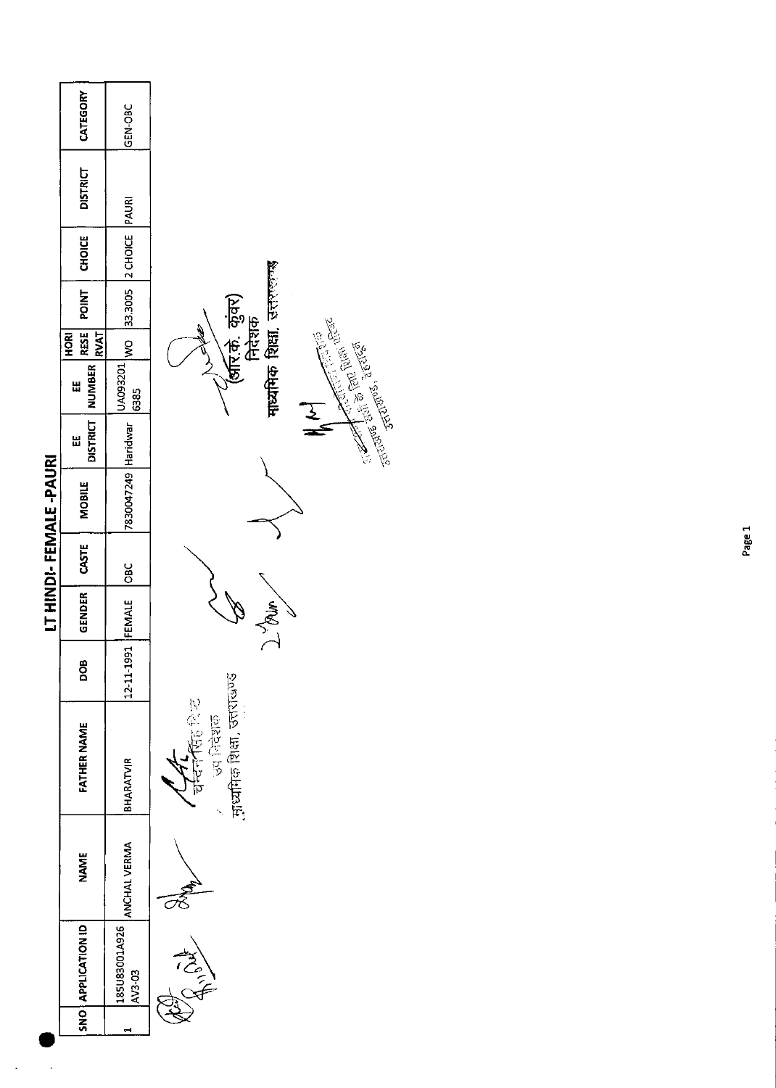| CATEGORY<br>GEN-OBC                                                                |                                |
|------------------------------------------------------------------------------------|--------------------------------|
| <b>DISTRICT</b>                                                                    |                                |
| 33.3005 2 CHOICE PAURI<br>CHOICE                                                   |                                |
| POINT                                                                              | (असि.के. कुंवर)<br>निदेशक      |
| RESE <sup> </sup><br><b>RVAT</b><br><b>HORI</b>                                    |                                |
| $\sim$ OM $_{\rm [OSSGOAU]}$<br><b>NUMBER</b><br>出<br>6385                         | माध्यमिक शिक्षा, उत्तरास्तुन्द |
| <b>DISTRICT</b><br>Ш                                                               |                                |
| 7830047249 Haridwar<br>LT HINDI-FEMALE-PAURI<br><b>MOBILE</b>                      |                                |
| CASTE<br>$rac{6}{5}$                                                               |                                |
| GENDER                                                                             | News <sup>1</sup>              |
| 12-11-1991 FEMALE<br>80a                                                           |                                |
| प्रदन् <b>रि</b> हरिन्ट<br><b>Bigalo</b><br><b>FATHER NAME</b><br><b>BHARATVIR</b> | नाध्यमिक शिक्षा, उत्तराखण्ड    |
| ANCHAL VERMA<br><b>NAME</b>                                                        |                                |
| SNO APPLICATION ID<br>185U83001A926<br>Marian<br>AV3-03                            |                                |
|                                                                                    |                                |

 $\bar{\beta}$ 

 $\ddot{\phantom{0}}$ 

**Communication Communication**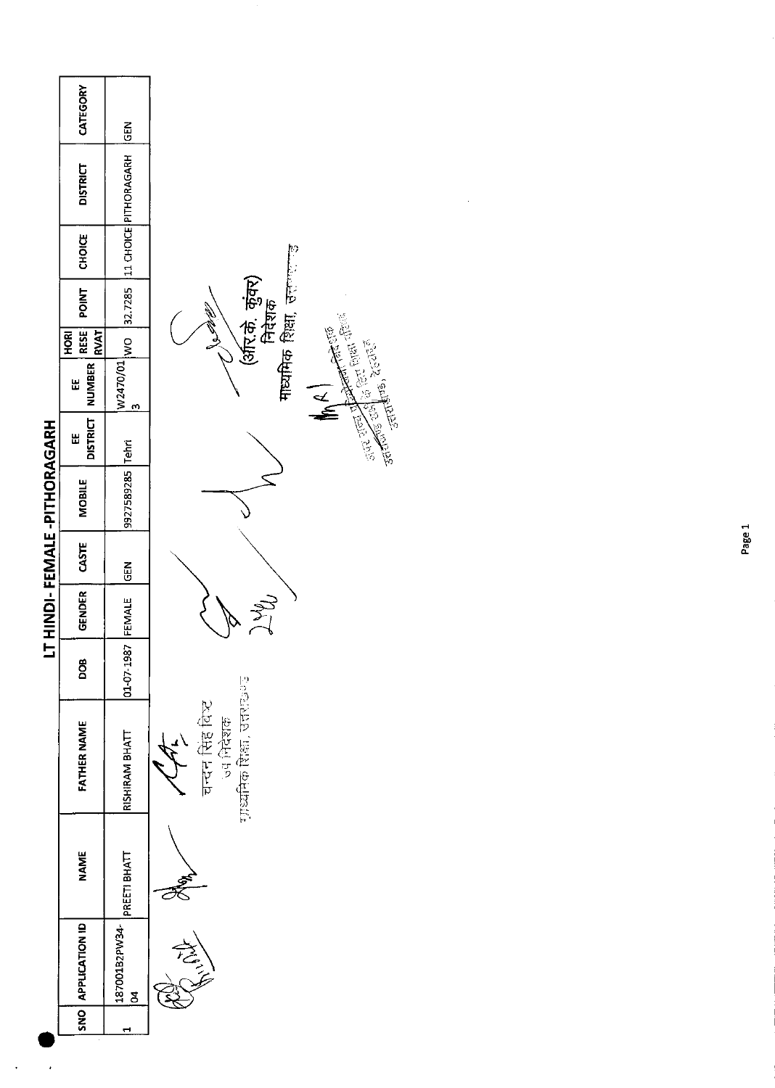|                              | CATEGORY                                  | $rac{5}{2}$                               |                                                              |
|------------------------------|-------------------------------------------|-------------------------------------------|--------------------------------------------------------------|
|                              | <b>DISTRICT</b>                           | W2470/01 WO 32.7285 11 CHOICE PITHORAGARH |                                                              |
|                              | CHOICE                                    |                                           |                                                              |
|                              | <b>TNICd</b>                              |                                           | माध्यमिक शिक्षा, उत्तल्ला उ<br>(अरि.के. कुंवर)<br>निदेशक     |
|                              | <b>RESE</b><br><b>RVAT</b><br><b>HORI</b> |                                           |                                                              |
|                              | <b>NUMBER</b><br>Ш                        | m                                         |                                                              |
|                              | <b>DISTRICT</b><br>Ш                      |                                           |                                                              |
| LT HINDI-FEMALE -PITHORAGARH | <b>MOBILE</b>                             | 9927589285 Tehri                          |                                                              |
|                              | CASTE                                     | $rac{2}{3}$                               |                                                              |
|                              | GENDER                                    |                                           |                                                              |
|                              | DOB                                       | 01-07-1987 FEMALE                         |                                                              |
|                              | FATHER NAME                               | RISHIRAM BHATT                            | गुण्यमिक शिक्षा, उत्तराख्य<br>चन्दन सिंह विश्ट<br>ज्य निदेशक |
|                              | <b>NAME</b>                               | PREETI BHATT                              |                                                              |
|                              | SNO APPLICATION ID                        | 187001B2PW34-<br>$\overline{a}$           |                                                              |
|                              |                                           |                                           |                                                              |

 $\frac{1}{2}$ 

 $\langle$ 

**Antich Price (1896)**<br>Price (1896)<br>Price (1896)

**Contract Company** 

MA)

Page 1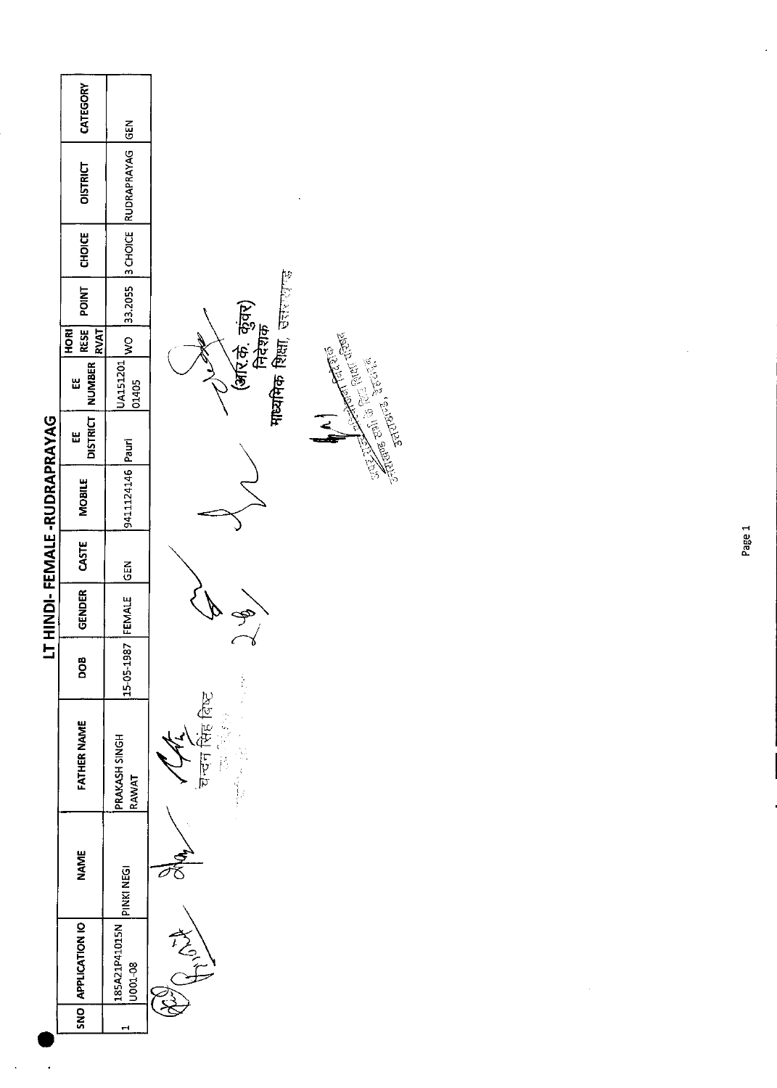|                             | CATEGORY                                 |                                              |                                                           |
|-----------------------------|------------------------------------------|----------------------------------------------|-----------------------------------------------------------|
|                             | <b>OISTRICT</b>                          | UA151201 WO 33.2055 3 CHOICE RUDRAPRAYAG GEN |                                                           |
|                             | <b>CHOICE</b>                            |                                              |                                                           |
|                             | POINT                                    |                                              |                                                           |
|                             | RESE<br>HORI                             |                                              |                                                           |
|                             | I NUMBER RVAT <sup>I</sup><br>یں<br>انتا |                                              | माध्यमिक शिक्षा, उत्तरराज्यक<br>(अरि.के. कुंवर)<br>निदेशक |
|                             | <b>DISTRICT</b><br>یں<br>سا              |                                              |                                                           |
| LT HINDI-FEMALE-RUDRAPRAYAG | <b>MOBILE</b>                            | 9411124146 Pauri                             |                                                           |
|                             | CASTE                                    |                                              |                                                           |
|                             | GENDER                                   |                                              |                                                           |
|                             | DOB                                      | 15-05-1987 FEMALE GEN                        | i.<br>I                                                   |
|                             | <b>FATHER NAME</b>                       | PRAKASH SINGH<br>RAWAT                       | सिंह विष्ट<br>苏拉拉<br>। एज                                 |
|                             | <b>NAME</b>                              | PINKI NEGI                                   |                                                           |
|                             | SNO APPLICATION IO                       | 185A21P41015N<br>U001-08                     | 反                                                         |
|                             |                                          |                                              |                                                           |

 $\ddot{\phantom{0}}$ 

 $\overline{\phantom{a}}$ 

**Contract Contract Contract Contract Contract Contract Contract Contract Contract Contract Contract Contract Contract Contract Contract Contract Contract Contract Contract Contract Contract Contract Contract Contract Contr** 

 $\mathbf{z}$ 

Page 1

 $\frac{1}{\sqrt{2}}$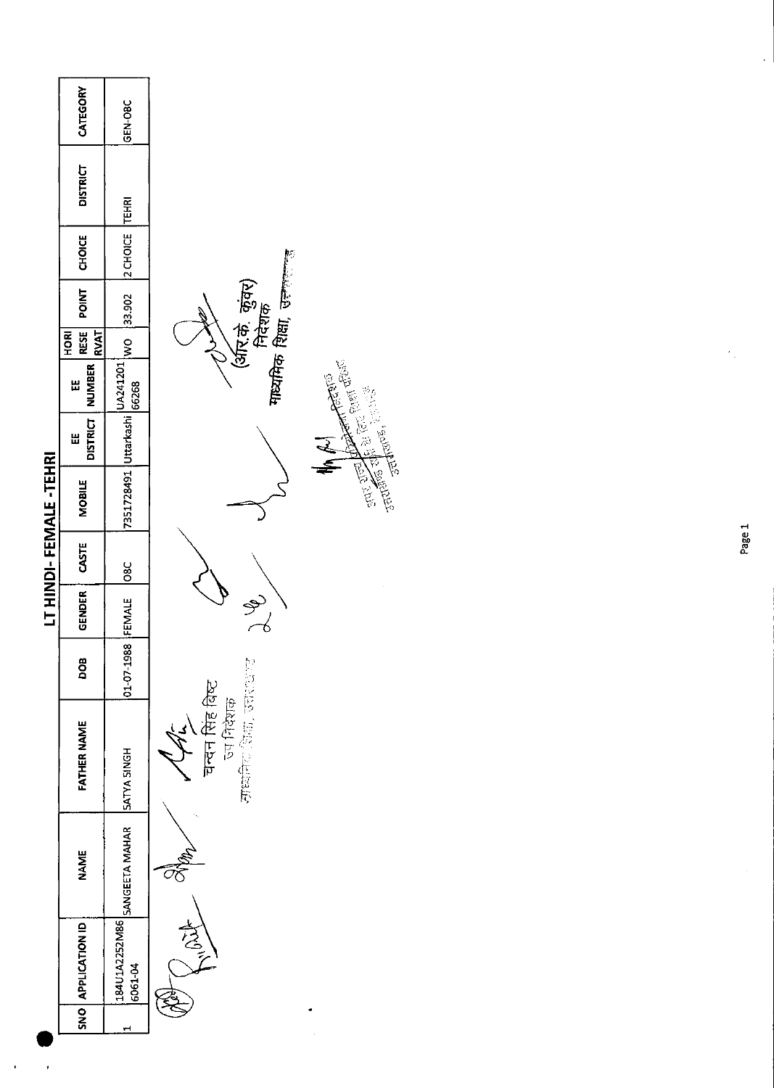|                        | CATEGORY                                  | GEN-OBC                                |                                                                                                                                                                                                                                |
|------------------------|-------------------------------------------|----------------------------------------|--------------------------------------------------------------------------------------------------------------------------------------------------------------------------------------------------------------------------------|
|                        | <b>DISTRICT</b>                           | <b>TEHRI</b>                           |                                                                                                                                                                                                                                |
|                        | <b>CHOICE</b>                             | $2$ CHOICE                             | े (अंरि.के. कुंवर)<br>निदेशक<br>माध्यमिक शिक्षा, उत्तराल्ला                                                                                                                                                                    |
|                        | <b>POINT</b>                              | 33.902                                 |                                                                                                                                                                                                                                |
|                        | <b>RESE</b><br><b>RVAT</b><br><b>HORI</b> | $\frac{1}{2}$                          |                                                                                                                                                                                                                                |
|                        | <b>NUMBER</b><br>Ш                        | 66268                                  |                                                                                                                                                                                                                                |
|                        | <b>DISTRICT</b><br>Ш                      |                                        |                                                                                                                                                                                                                                |
| LT HINDI-FEMALE -TEHRI | <b>MOBILE</b>                             | 7351728491 Uttarkashi   UA241201<br> - | started the first contribution of the started of the started of the started of the started of the started of the started of the started of the started of the started of the started of the started of the started of the star |
|                        | CASTE                                     | <b>O8C</b>                             |                                                                                                                                                                                                                                |
|                        | <b>GENDER</b>                             |                                        |                                                                                                                                                                                                                                |
|                        | <b>DOB</b>                                | 01-07-1988 FEMALE                      |                                                                                                                                                                                                                                |
|                        | <b>FATHER NAME</b>                        | <b>SATYA SINGH</b>                     | 可以说 "我们的时候<br>चन्दन सिंह बिष्ट<br>ज्य निदेशक                                                                                                                                                                                   |
|                        | <b>NAME</b>                               | SANGEETA MAHAR                         |                                                                                                                                                                                                                                |
|                        | SNO APPLICATION ID                        | 184U1A2252M86<br>6061-04               |                                                                                                                                                                                                                                |
|                        |                                           | H                                      |                                                                                                                                                                                                                                |

 $\bar{\star}$ 

 $\ddot{\phantom{1}}$ 

 $\hat{\boldsymbol{\gamma}}$ 

 $\epsilon_{\perp}$ 

 $\frac{1}{\sqrt{2}}$